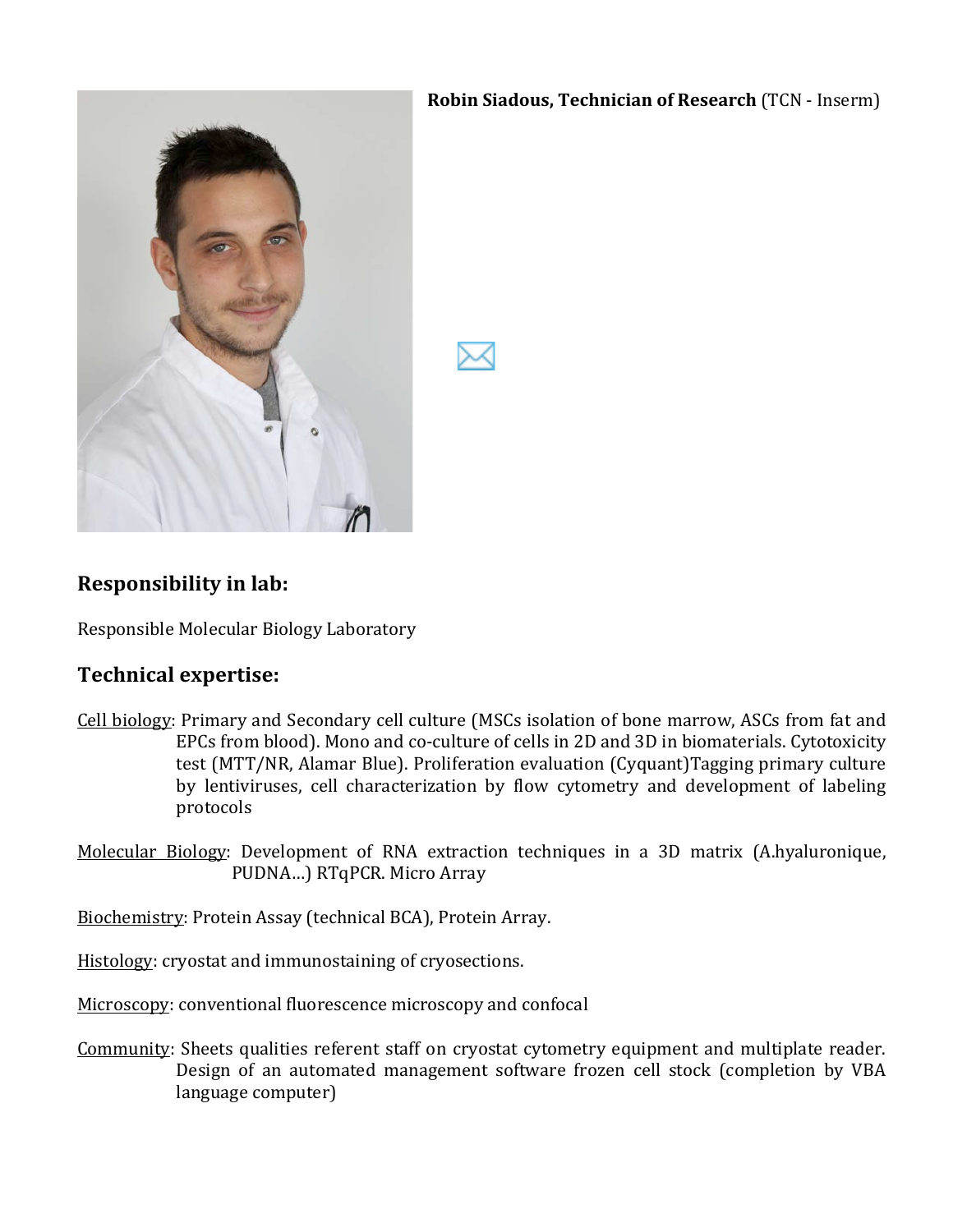### **Robin Siadous, Technician of Research** (TCN - Inserm)



# **Responsibility in lab:**

Responsible Molecular Biology Laboratory

## **Technical expertise:**

- Cell biology: Primary and Secondary cell culture (MSCs isolation of bone marrow, ASCs from fat and EPCs from blood). Mono and co-culture of cells in 2D and 3D in biomaterials. Cytotoxicity test (MTT/NR, Alamar Blue). Proliferation evaluation (Cyquant)Tagging primary culture by lentiviruses, cell characterization by flow cytometry and development of labeling protocols
- Molecular Biology: Development of RNA extraction techniques in a 3D matrix (A.hyaluronique, PUDNA...) RTqPCR. Micro Array

Biochemistry: Protein Assay (technical BCA), Protein Array.

Histology: cryostat and immunostaining of cryosections.

Microscopy: conventional fluorescence microscopy and confocal

Community: Sheets qualities referent staff on cryostat cytometry equipment and multiplate reader. Design of an automated management software frozen cell stock (completion by VBA language computer)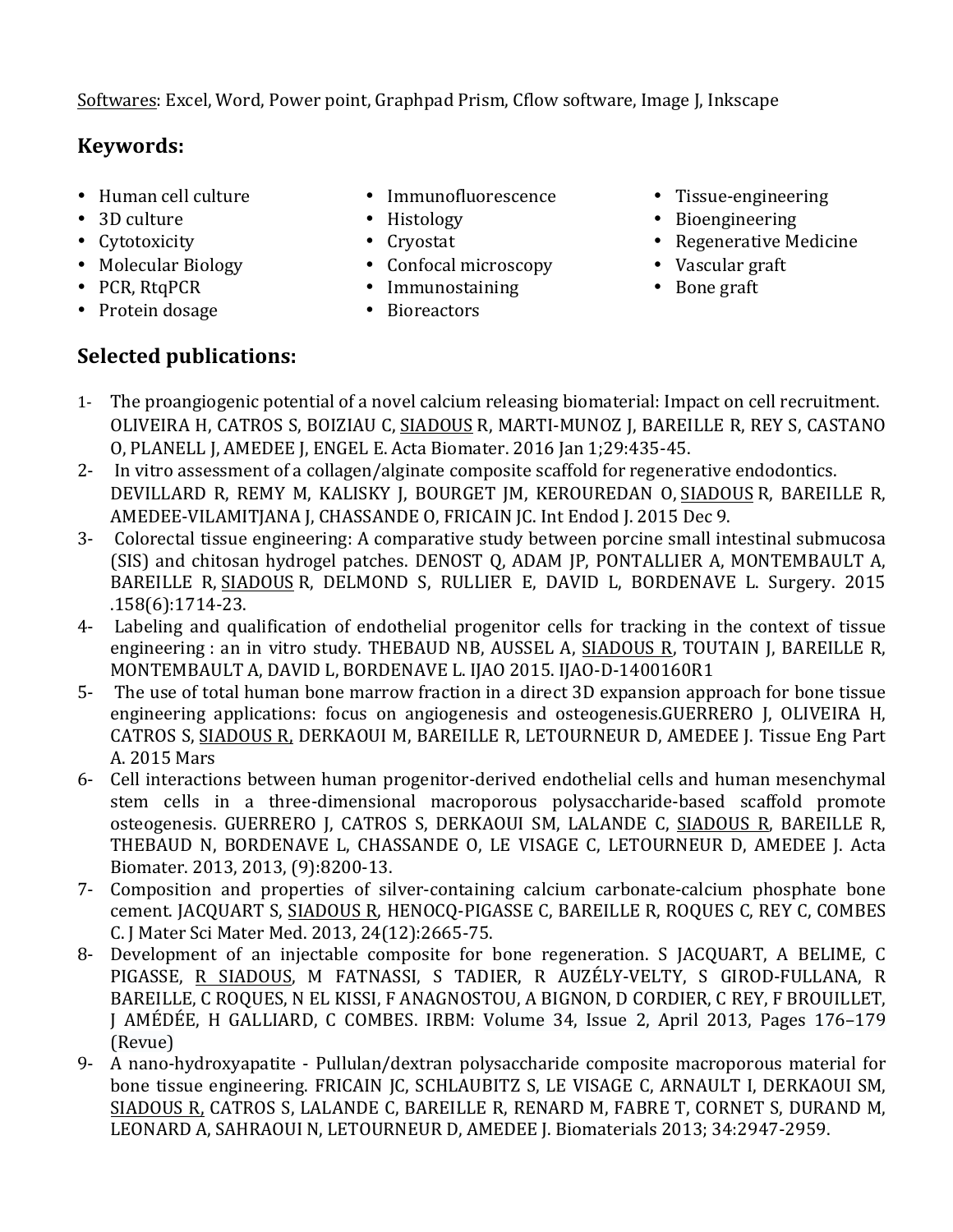Softwares: Excel, Word, Power point, Graphpad Prism, Cflow software, Image J, Inkscape

# **Keywords:**

- Human cell culture
- 3D culture
- Cytotoxicity
- Molecular Biology
- PCR, RtqPCR
- Protein dosage
- Immunofluorescence
- Histology
- Cryostat
- Confocal microscopy
	- Immunostaining
- Bioreactors
- Tissue-engineering
- Bioengineering
- Regenerative Medicine
- Vascular graft
- Bone graft

# **Selected publications:**

- 1- The proangiogenic potential of a novel calcium releasing biomaterial: Impact on cell recruitment. OLIVEIRA H, CATROS S, BOIZIAU C, SIADOUS R, MARTI-MUNOZ J, BAREILLE R, REY S, CASTANO O, PLANELL J, AMEDEE J, ENGEL E. Acta Biomater. 2016 Jan 1;29:435-45.
- 2- In vitro assessment of a collagen/alginate composite scaffold for regenerative endodontics. DEVILLARD R, REMY M, KALISKY J, BOURGET JM, KEROUREDAN O, SIADOUS R, BAREILLE R, AMEDEE-VILAMITIANA I, CHASSANDE O, FRICAIN IC. Int Endod I, 2015 Dec 9.
- 3- Colorectal tissue engineering: A comparative study between porcine small intestinal submucosa (SIS) and chitosan hydrogel patches. DENOST Q, ADAM IP, PONTALLIER A, MONTEMBAULT A, BAREILLE R, SIADOUS R, DELMOND S, RULLIER E, DAVID L, BORDENAVE L. Surgery. 2015  $.158(6):1714-23.$
- 4- Labeling and qualification of endothelial progenitor cells for tracking in the context of tissue engineering : an in vitro study. THEBAUD NB, AUSSEL A, SIADOUS R, TOUTAIN J, BAREILLE R, MONTEMBAULT A, DAVID L, BORDENAVE L. IJAO 2015. IJAO-D-1400160R1
- 5- The use of total human bone marrow fraction in a direct 3D expansion approach for bone tissue engineering applications: focus on angiogenesis and osteogenesis.GUERRERO J, OLIVEIRA H, CATROS S, SIADOUS R, DERKAOUI M, BAREILLE R, LETOURNEUR D, AMEDEE J. Tissue Eng Part A. 2015 Mars
- 6- Cell interactions between human progenitor-derived endothelial cells and human mesenchymal stem cells in a three-dimensional macroporous polysaccharide-based scaffold promote osteogenesis. GUERRERO J, CATROS S, DERKAOUI SM, LALANDE C, SIADOUS R, BAREILLE R, THEBAUD N, BORDENAVE L, CHASSANDE O, LE VISAGE C, LETOURNEUR D, AMEDEE J. Acta Biomater. 2013, 2013, (9):8200-13.
- 7- Composition and properties of silver-containing calcium carbonate-calcium phosphate bone cement. JACQUART S, SIADOUS R, HENOCQ-PIGASSE C, BAREILLE R, ROQUES C, REY C, COMBES C. J Mater Sci Mater Med. 2013, 24(12):2665-75.
- 8- Development of an injectable composite for bone regeneration. S JACOUART, A BELIME, C PIGASSE, R SIADOUS, M FATNASSI, S TADIER, R AUZÉLY-VELTY, S GIROD-FULLANA, R BAREILLE, C ROQUES, N EL KISSI, F ANAGNOSTOU, A BIGNON, D CORDIER, C REY, F BROUILLET, J AMÉDÉE, H GALLIARD, C COMBES. IRBM: Volume 34, Issue 2, April 2013, Pages 176–179 (Revue)
- 9- A nano-hydroxyapatite Pullulan/dextran polysaccharide composite macroporous material for bone tissue engineering. FRICAIN JC, SCHLAUBITZ S, LE VISAGE C, ARNAULT I, DERKAOUI SM, SIADOUS R, CATROS S, LALANDE C, BAREILLE R, RENARD M, FABRE T, CORNET S, DURAND M, LEONARD A, SAHRAOUI N, LETOURNEUR D, AMEDEE J. Biomaterials 2013; 34:2947-2959.